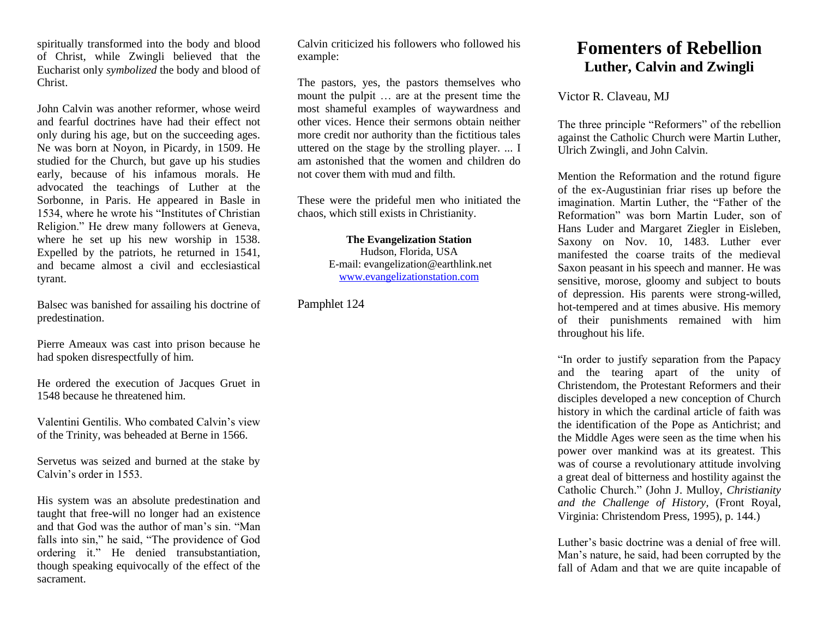spiritually transformed into the body and blood of Christ, while Zwingli believed that the Eucharist only *symbolized* the body and blood of Christ.

John Calvin was another reformer, whose weird and fearful doctrines have had their effect not only during his age, but on the succeeding ages. Ne was born at Noyon, in Picardy, in 1509. He studied for the Church, but gave up his studies early, because of his infamous morals. He advocated the teachings of Luther at the Sorbonne, in Paris. He appeared in Basle in 1534, where he wrote his "Institutes of Christian Religion." He drew many followers at Geneva, where he set up his new worship in 1538. Expelled by the patriots, he returned in 1541, and became almost a civil and ecclesiastical tyrant.

Balsec was banished for assailing his doctrine of predestination.

Pierre Ameaux was cast into prison because he had spoken disrespectfully of him.

He ordered the execution of Jacques Gruet in 1548 because he threatened him.

Valentini Gentilis. Who combated Calvin's view of the Trinity, was beheaded at Berne in 1566.

Servetus was seized and burned at the stake by Calvin's order in 1553.

His system was an absolute predestination and taught that free-will no longer had an existence and that God was the author of man's sin. "Man falls into sin," he said, "The providence of God ordering it." He denied transubstantiation, though speaking equivocally of the effect of the sacrament.

Calvin criticized his followers who followed his example:

The pastors, yes, the pastors themselves who mount the pulpit … are at the present time the most shameful examples of waywardness and other vices. Hence their sermons obtain neither more credit nor authority than the fictitious tales uttered on the stage by the strolling player. ... I am astonished that the women and children do not cover them with mud and filth.

These were the prideful men who initiated the chaos, which still exists in Christianity.

> **The Evangelization Station** Hudson, Florida, USA E-mail: evangelization@earthlink.net [www.evangelizationstation.com](http://www.pjpiisoe.org/)

Pamphlet 124

## **Fomenters of Rebellion Luther, Calvin and Zwingli**

Victor R. Claveau, MJ

The three principle "Reformers" of the rebellion against the Catholic Church were Martin Luther, Ulrich Zwingli, and John Calvin.

Mention the Reformation and the rotund figure of the ex-Augustinian friar rises up before the imagination. Martin Luther, the "Father of the Reformation" was born Martin Luder, son of Hans Luder and Margaret Ziegler in Eisleben, Saxony on Nov. 10, 1483. Luther ever manifested the coarse traits of the medieval Saxon peasant in his speech and manner. He was sensitive, morose, gloomy and subject to bouts of depression. His parents were strong-willed, hot-tempered and at times abusive. His memory of their punishments remained with him throughout his life.

"In order to justify separation from the Papacy and the tearing apart of the unity of Christendom, the Protestant Reformers and their disciples developed a new conception of Church history in which the cardinal article of faith was the identification of the Pope as Antichrist; and the Middle Ages were seen as the time when his power over mankind was at its greatest. This was of course a revolutionary attitude involving a great deal of bitterness and hostility against the Catholic Church." (John J. Mulloy, *Christianity and the Challenge of History,* (Front Royal, Virginia: Christendom Press, 1995), p. 144.)

Luther's basic doctrine was a denial of free will. Man's nature, he said, had been corrupted by the fall of Adam and that we are quite incapable of